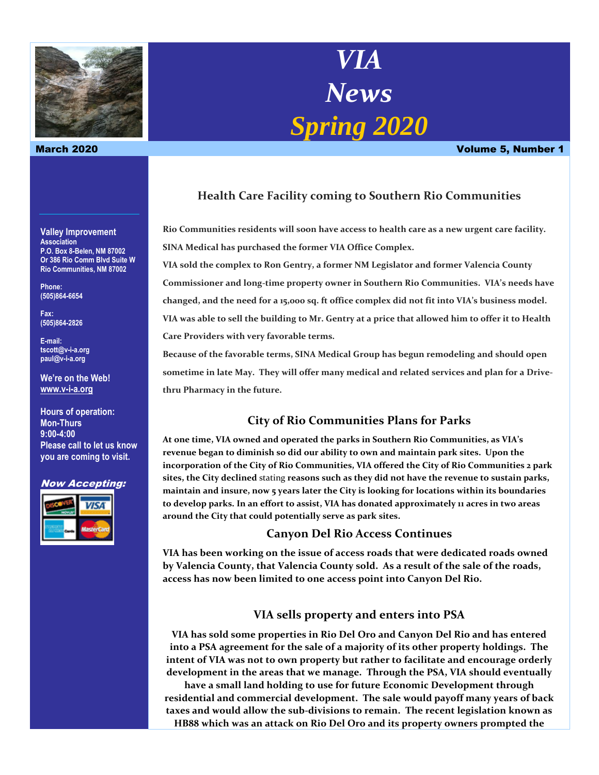

**Valley Improvement Association P.O. Box 8-Belen, NM 87002 Or 386 Rio Comm Blvd Suite W Rio Communities, NM 87002**

**Phone: (505)864-6654**

**Fax: (505)864-2826**

**E-mail: tscott@v-i-a.org paul@v-i-a.org**

**We're on the Web! [www.v-i-a.org](http://www.v-i-a.org/)**

**Hours of operation: Mon-Thurs 9:00-4:00 Please call to let us know you are coming to visit.**

#### Now Accepting:



# *VIA News Spring 2020*

March 2020 Volume 5, Number 1

# **Health Care Facility coming to Southern Rio Communities**

**Rio Communities residents will soon have access to health care as a new urgent care facility. SINA Medical has purchased the former VIA Office Complex.**

**VIA sold the complex to Ron Gentry, a former NM Legislator and former Valencia County Commissioner and long-time property owner in Southern Rio Communities. VIA's needs have changed, and the need for a 15,000 sq. ft office complex did not fit into VIA's business model. VIA was able to sell the building to Mr. Gentry at a price that allowed him to offer it to Health Care Providers with very favorable terms.** 

**Because of the favorable terms, SINA Medical Group has begun remodeling and should open sometime in late May. They will offer many medical and related services and plan for a Drivethru Pharmacy in the future.**

## **City of Rio Communities Plans for Parks**

**At one time, VIA owned and operated the parks in Southern Rio Communities, as VIA's revenue began to diminish so did our ability to own and maintain park sites. Upon the incorporation of the City of Rio Communities, VIA offered the City of Rio Communities 2 park sites, the City declined** stating **reasons such as they did not have the revenue to sustain parks, maintain and insure, now 5 years later the City is looking for locations within its boundaries to develop parks. In an effort to assist, VIA has donated approximately 11 acres in two areas around the City that could potentially serve as park sites.** 

## **Canyon Del Rio Access Continues**

**VIA has been working on the issue of access roads that were dedicated roads owned by Valencia County, that Valencia County sold. As a result of the sale of the roads, access has now been limited to one access point into Canyon Del Rio.** 

## **VIA sells property and enters into PSA**

**VIA has sold some properties in Rio Del Oro and Canyon Del Rio and has entered into a PSA agreement for the sale of a majority of its other property holdings. The intent of VIA was not to own property but rather to facilitate and encourage orderly development in the areas that we manage. Through the PSA, VIA should eventually** 

**have a small land holding to use for future Economic Development through residential and commercial development. The sale would payoff many years of back taxes and would allow the sub-divisions to remain. The recent legislation known as HB88 which was an attack on Rio Del Oro and its property owners prompted the**